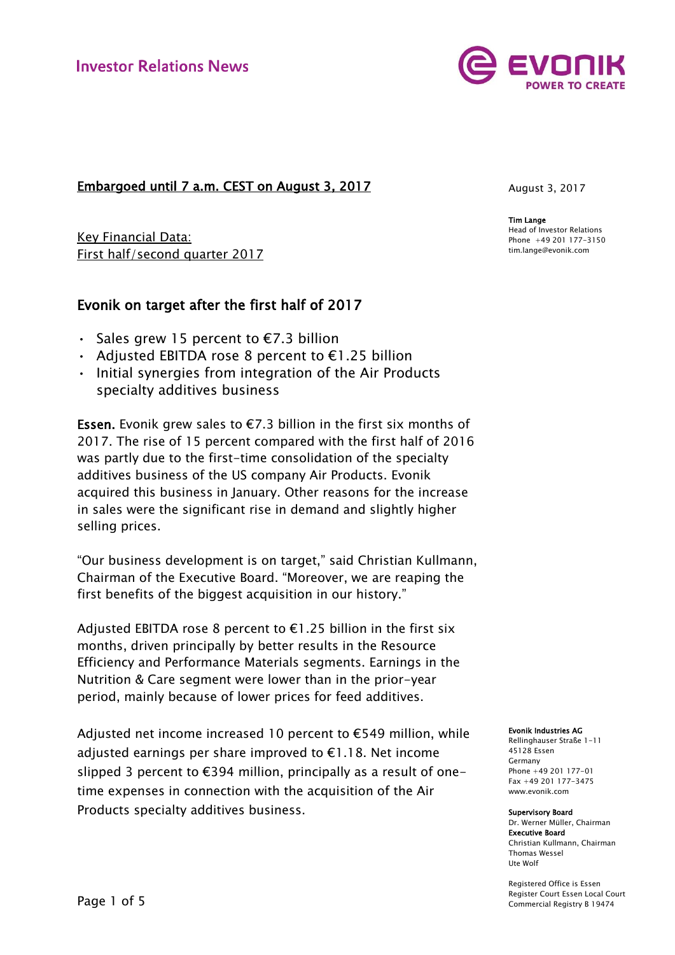## Embargoed until 7 a.m. CEST on August 3, 2017

Key Financial Data: First half/second quarter 2017

# Evonik on target after the first half of 2017

- Sales grew 15 percent to  $\epsilon$ 7.3 billion
- Adjusted EBITDA rose 8 percent to €1.25 billion
- Initial synergies from integration of the Air Products specialty additives business

Essen. Evonik grew sales to  $E$ 7.3 billion in the first six months of 2017. The rise of 15 percent compared with the first half of 2016 was partly due to the first-time consolidation of the specialty additives business of the US company Air Products. Evonik acquired this business in January. Other reasons for the increase in sales were the significant rise in demand and slightly higher selling prices.

"Our business development is on target," said Christian Kullmann, Chairman of the Executive Board. "Moreover, we are reaping the first benefits of the biggest acquisition in our history."

Adjusted EBITDA rose 8 percent to  $\epsilon$ 1.25 billion in the first six months, driven principally by better results in the Resource Efficiency and Performance Materials segments. Earnings in the Nutrition & Care segment were lower than in the prior-year period, mainly because of lower prices for feed additives.

Adjusted net income increased 10 percent to €549 million, while adjusted earnings per share improved to €1.18. Net income slipped 3 percent to  $E$ 394 million, principally as a result of onetime expenses in connection with the acquisition of the Air Products specialty additives business.

August 3, 2017

Tim Lange Head of Investor Relations Phone +49 201 177-3150 tim.lange@evonik.com

Evonik Industries AG

Rellinghauser Straße 1-11 45128 Essen Germany Phone +49 201 177-01 Fax +49 201 177-3475 www.evonik.com

Supervisory Board

Dr. Werner Müller, Chairman Executive Board Christian Kullmann, Chairman Thomas Wessel Ute Wolf

Registered Office is Essen Register Court Essen Local Court Commercial Registry B 19474

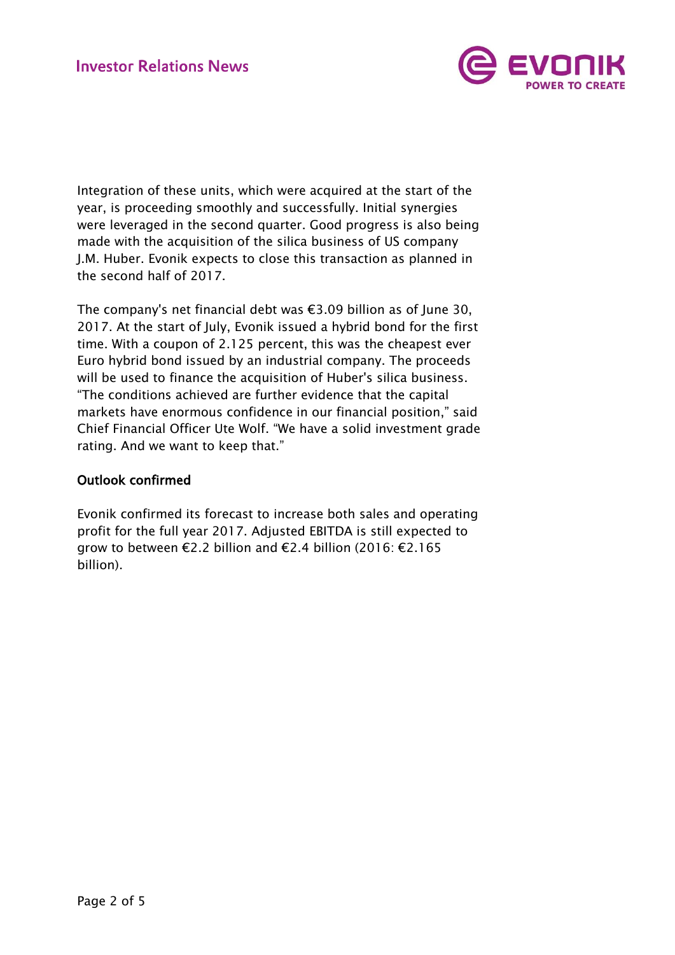

Integration of these units, which were acquired at the start of the year, is proceeding smoothly and successfully. Initial synergies were leveraged in the second quarter. Good progress is also being made with the acquisition of the silica business of US company J.M. Huber. Evonik expects to close this transaction as planned in the second half of 2017.

The company's net financial debt was €3.09 billion as of June 30, 2017. At the start of July, Evonik issued a hybrid bond for the first time. With a coupon of 2.125 percent, this was the cheapest ever Euro hybrid bond issued by an industrial company. The proceeds will be used to finance the acquisition of Huber's silica business. "The conditions achieved are further evidence that the capital markets have enormous confidence in our financial position," said Chief Financial Officer Ute Wolf. "We have a solid investment grade rating. And we want to keep that."

## Outlook confirmed

Evonik confirmed its forecast to increase both sales and operating profit for the full year 2017. Adjusted EBITDA is still expected to grow to between €2.2 billion and €2.4 billion (2016: €2.165 billion).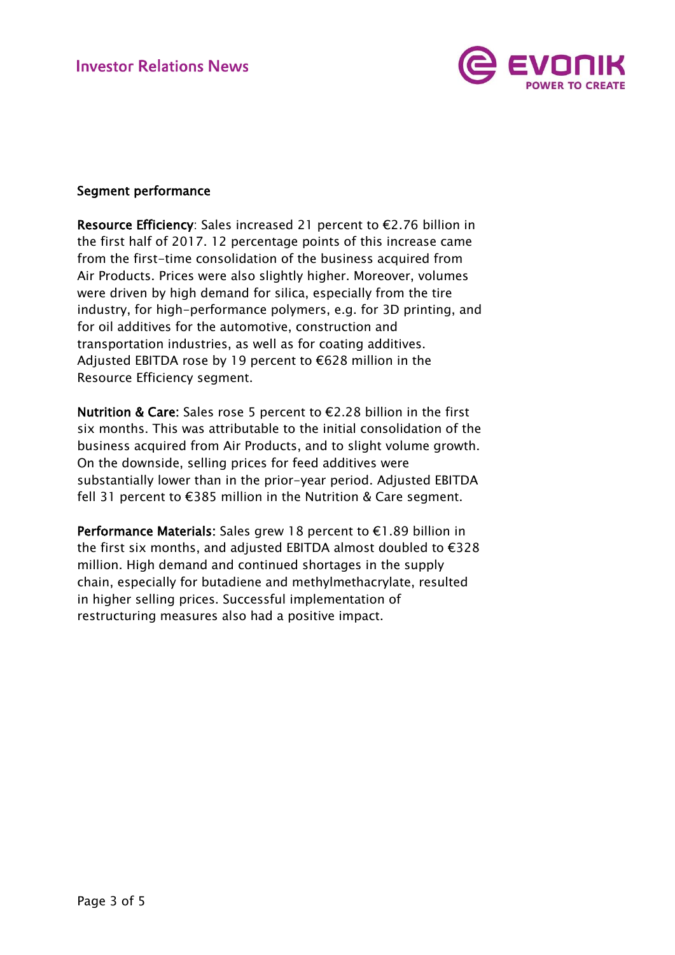

## Segment performance

Resource Efficiency: Sales increased 21 percent to €2.76 billion in the first half of 2017. 12 percentage points of this increase came from the first-time consolidation of the business acquired from Air Products. Prices were also slightly higher. Moreover, volumes were driven by high demand for silica, especially from the tire industry, for high-performance polymers, e.g. for 3D printing, and for oil additives for the automotive, construction and transportation industries, as well as for coating additives. Adjusted EBITDA rose by 19 percent to €628 million in the Resource Efficiency segment.

Nutrition & Care: Sales rose 5 percent to €2.28 billion in the first six months. This was attributable to the initial consolidation of the business acquired from Air Products, and to slight volume growth. On the downside, selling prices for feed additives were substantially lower than in the prior-year period. Adjusted EBITDA fell 31 percent to €385 million in the Nutrition & Care segment.

Performance Materials: Sales grew 18 percent to €1.89 billion in the first six months, and adjusted EBITDA almost doubled to €328 million. High demand and continued shortages in the supply chain, especially for butadiene and methylmethacrylate, resulted in higher selling prices. Successful implementation of restructuring measures also had a positive impact.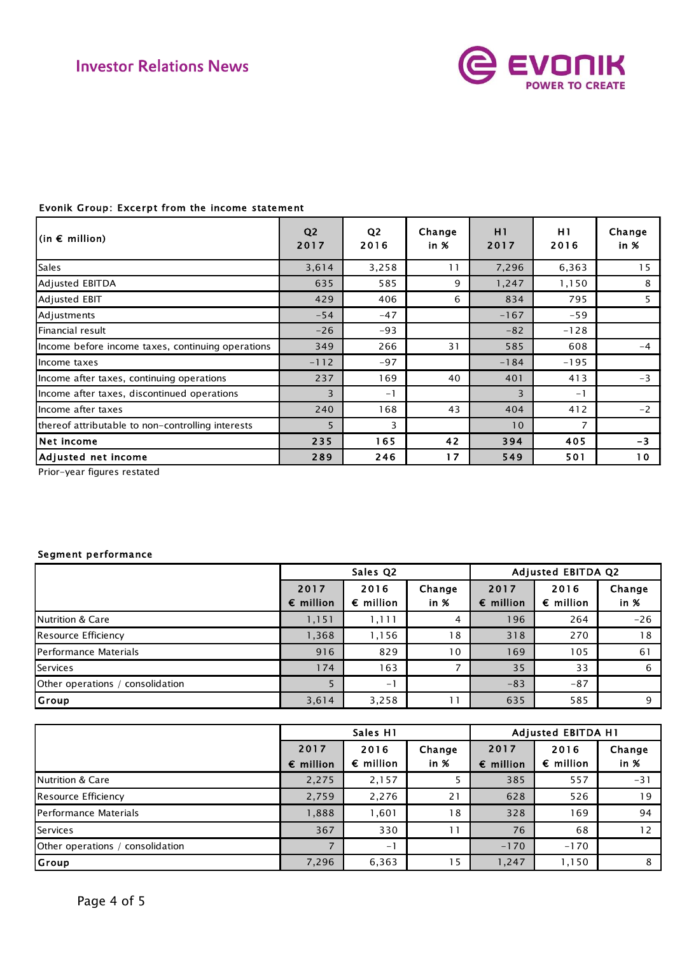

## Evonik Group: Excerpt from the income statement

| $(in \in million)$                                | Q <sub>2</sub><br>2017 | Q <sub>2</sub><br>2016 | Change<br>in $%$ | H1<br>2017 | H1<br>2016     | Change<br>in %  |
|---------------------------------------------------|------------------------|------------------------|------------------|------------|----------------|-----------------|
| <b>Sales</b>                                      | 3,614                  | 3,258                  | 11               | 7,296      | 6,363          | 15              |
| <b>Adjusted EBITDA</b>                            | 635                    | 585                    | 9                | 1,247      | 1,150          | 8               |
| Adjusted EBIT                                     | 429                    | 406                    | 6                | 834        | 795            | 5               |
| Adjustments                                       | $-54$                  | $-47$                  |                  | $-167$     | $-59$          |                 |
| Financial result                                  | $-26$                  | $-93$                  |                  | $-82$      | $-128$         |                 |
| Income before income taxes, continuing operations | 349                    | 266                    | 31               | 585        | 608            | $-4$            |
| Income taxes                                      | $-112$                 | $-97$                  |                  | $-184$     | $-195$         |                 |
| Income after taxes, continuing operations         | 237                    | 169                    | 40               | 401        | 413            | $-3$            |
| Income after taxes, discontinued operations       | 3                      | $-1$                   |                  | 3          | $-1$           |                 |
| Income after taxes                                | 240                    | 168                    | 43               | 404        | 412            | $-2$            |
| thereof attributable to non-controlling interests | 5                      | 3                      |                  | 10         | $\overline{7}$ |                 |
| Net income                                        | 235                    | 165                    | 42               | 394        | 405            | $-3$            |
| Adjusted net income                               | 289                    | 246                    | 17               | 549        | 501            | 10 <sub>o</sub> |

Prior-year figures restated

### Segment performance

|                                  | Sales Q2                   |                            |                  | <b>Adjusted EBITDA Q2</b>  |                            |                |  |
|----------------------------------|----------------------------|----------------------------|------------------|----------------------------|----------------------------|----------------|--|
|                                  | 2017<br>$\epsilon$ million | 2016<br>$\epsilon$ million | Change<br>in $%$ | 2017<br>$\epsilon$ million | 2016<br>$\epsilon$ million | Change<br>in % |  |
| <b>Nutrition &amp; Care</b>      | 1,151                      | 1,111                      | 4                | 196                        | 264                        | $-26$          |  |
| Resource Efficiency              | 1,368                      | 1,156                      | 18               | 318                        | 270                        | 18             |  |
| Performance Materials            | 916                        | 829                        | 10               | 169                        | 105                        | 61             |  |
| <b>Services</b>                  | 174                        | 163                        |                  | 35                         | 33                         | 6              |  |
| Other operations / consolidation |                            | $-1$                       |                  | $-83$                      | $-87$                      |                |  |
| Group                            | 3,614                      | 3,258                      |                  | 635                        | 585                        | 9              |  |

|                                  | Sales H1                   |                            |                | <b>Adjusted EBITDA H1</b>  |                            |                |  |
|----------------------------------|----------------------------|----------------------------|----------------|----------------------------|----------------------------|----------------|--|
|                                  | 2017<br>$\epsilon$ million | 2016<br>$\epsilon$ million | Change<br>in % | 2017<br>$\epsilon$ million | 2016<br>$\epsilon$ million | Change<br>in % |  |
| Nutrition & Care                 | 2,275                      | 2,157                      |                | 385                        | 557                        | $-31$          |  |
| Resource Efficiency              | 2,759                      | 2,276                      | 21             | 628                        | 526                        | 19             |  |
| Performance Materials            | 1,888                      | .601                       | 18             | 328                        | 169                        | 94             |  |
| Services                         | 367                        | 330                        | 11             | 76                         | 68                         | 12             |  |
| Other operations / consolidation |                            | $-1$                       |                | $-170$                     | $-170$                     |                |  |
| Group                            | 7,296                      | 6,363                      | 15             | 1,247                      | 1,150                      | 8              |  |